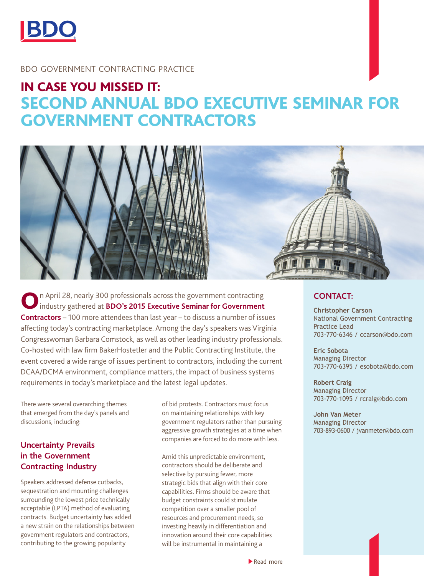

#### BDO GOVERNMENT CONTRACTING PRACTICE

# IN CASE YOU MISSED IT: SECOND ANNUAL BDO EXECUTIVE SEMINAR FOR GOVERNMENT CONTRACTORS





On April 28, nearly 300 professionals across the government contracting industry gathered at **BDO's 2015 Executive Seminar for Government Contractors** – 100 more attendees than last year – to discuss a number of issues affecting today's contracting marketplace. Among the day's speakers was Virginia Congresswoman Barbara Comstock, as well as other leading industry professionals. Co-hosted with law firm BakerHostetler and the Public Contracting Institute, the event covered a wide range of issues pertinent to contractors, including the current DCAA/DCMA environment, compliance matters, the impact of business systems requirements in today's marketplace and the latest legal updates.

There were several overarching themes that emerged from the day's panels and discussions, including:

# **Uncertainty Prevails in the Government Contracting Industry**

Speakers addressed defense cutbacks, sequestration and mounting challenges surrounding the lowest price technically acceptable (LPTA) method of evaluating contracts. Budget uncertainty has added a new strain on the relationships between government regulators and contractors, contributing to the growing popularity

of bid protests. Contractors must focus on maintaining relationships with key government regulators rather than pursuing aggressive growth strategies at a time when companies are forced to do more with less.

Amid this unpredictable environment, contractors should be deliberate and selective by pursuing fewer, more strategic bids that align with their core capabilities. Firms should be aware that budget constraints could stimulate competition over a smaller pool of resources and procurement needs, so investing heavily in differentiation and innovation around their core capabilities will be instrumental in maintaining a

#### **CONTACT:**

**Christopher Carson** National Government Contracting Practice Lead 703-770-6346 / ccarson@bdo.com

**Eric Sobota** Managing Director 703-770-6395 / esobota@bdo.com

**Robert Craig** Managing Director 703-770-1095 / rcraig@bdo.com

**John Van Meter** Managing Director 703-893-0600 / jvanmeter@bdo.com